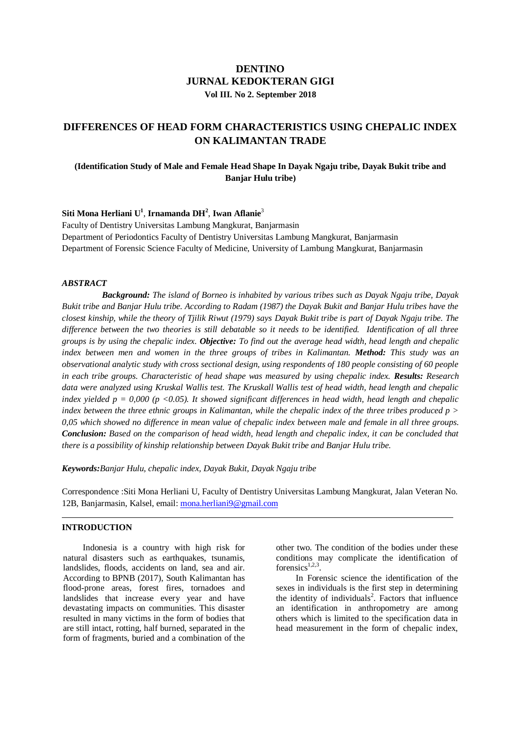# **DENTINO JURNAL KEDOKTERAN GIGI Vol III. No 2. September 2018**

# **DIFFERENCES OF HEAD FORM CHARACTERISTICS USING CHEPALIC INDEX ON KALIMANTAN TRADE**

# **(Identification Study of Male and Female Head Shape In Dayak Ngaju tribe, Dayak Bukit tribe and Banjar Hulu tribe)**

### **Siti Mona Herliani U<sup>1</sup>** , **Irnamanda DH<sup>2</sup>** , **Iwan Aflanie**<sup>3</sup>

Faculty of Dentistry Universitas Lambung Mangkurat, Banjarmasin Department of Periodontics Faculty of Dentistry Universitas Lambung Mangkurat, Banjarmasin Department of Forensic Science Faculty of Medicine, University of Lambung Mangkurat, Banjarmasin

### *ABSTRACT*

*Background: The island of Borneo is inhabited by various tribes such as Dayak Ngaju tribe, Dayak Bukit tribe and Banjar Hulu tribe. According to Radam (1987) the Dayak Bukit and Banjar Hulu tribes have the closest kinship, while the theory of Tjilik Riwut (1979) says Dayak Bukit tribe is part of Dayak Ngaju tribe. The difference between the two theories is still debatable so it needs to be identified. Identification of all three groups is by using the chepalic index. Objective: To find out the average head width, head length and chepalic index between men and women in the three groups of tribes in Kalimantan. Method: This study was an observational analytic study with cross sectional design, using respondents of 180 people consisting of 60 people in each tribe groups. Characteristic of head shape was measured by using chepalic index. Results: Research data were analyzed using Kruskal Wallis test. The Kruskall Wallis test of head width, head length and chepalic index yielded p = 0,000 (p <0.05). It showed significant differences in head width, head length and chepalic index between the three ethnic groups in Kalimantan, while the chepalic index of the three tribes produced p > 0,05 which showed no difference in mean value of chepalic index between male and female in all three groups. Conclusion: Based on the comparison of head width, head length and chepalic index, it can be concluded that there is a possibility of kinship relationship between Dayak Bukit tribe and Banjar Hulu tribe.*

*Keywords:Banjar Hulu, chepalic index, Dayak Bukit, Dayak Ngaju tribe*

Correspondence :Siti Mona Herliani U, Faculty of Dentistry Universitas Lambung Mangkurat, Jalan Veteran No. 12B, Banjarmasin, Kalsel, email: [mona.herliani9@gmail.com](mailto:mona.herliani9@gmail.com)

### **INTRODUCTION**

Indonesia is a country with high risk for natural disasters such as earthquakes, tsunamis, landslides, floods, accidents on land, sea and air. According to BPNB (2017), South Kalimantan has flood-prone areas, forest fires, tornadoes and landslides that increase every year and have devastating impacts on communities. This disaster resulted in many victims in the form of bodies that are still intact, rotting, half burned, separated in the form of fragments, buried and a combination of the other two. The condition of the bodies under these conditions may complicate the identification of forensics $1,2,3$ .

In Forensic science the identification of the sexes in individuals is the first step in determining the identity of individuals<sup>2</sup>. Factors that influence an identification in anthropometry are among others which is limited to the specification data in head measurement in the form of chepalic index,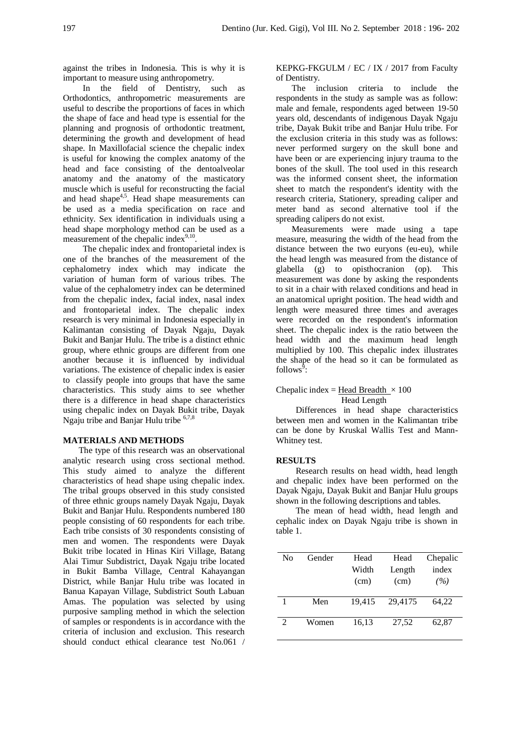against the tribes in Indonesia. This is why it is important to measure using anthropometry.

In the field of Dentistry, such as Orthodontics, anthropometric measurements are useful to describe the proportions of faces in which the shape of face and head type is essential for the planning and prognosis of orthodontic treatment, determining the growth and development of head shape. In Maxillofacial science the chepalic index is useful for knowing the complex anatomy of the head and face consisting of the dentoalveolar anatomy and the anatomy of the masticatory muscle which is useful for reconstructing the facial and head shape<sup>4,5</sup>. Head shape measurements can be used as a media specification on race and ethnicity. Sex identification in individuals using a head shape morphology method can be used as a measurement of the chepalic index<sup>9,10</sup>.

The chepalic index and frontoparietal index is one of the branches of the measurement of the cephalometry index which may indicate the variation of human form of various tribes. The value of the cephalometry index can be determined from the chepalic index, facial index, nasal index and frontoparietal index. The chepalic index research is very minimal in Indonesia especially in Kalimantan consisting of Dayak Ngaju, Dayak Bukit and Banjar Hulu. The tribe is a distinct ethnic group, where ethnic groups are different from one another because it is influenced by individual variations. The existence of chepalic index is easier to classify people into groups that have the same characteristics. This study aims to see whether there is a difference in head shape characteristics using chepalic index on Dayak Bukit tribe, Dayak Ngaju tribe and Banjar Hulu tribe 6,7,8

#### **MATERIALS AND METHODS**

The type of this research was an observational analytic research using cross sectional method. This study aimed to analyze the different characteristics of head shape using chepalic index. The tribal groups observed in this study consisted of three ethnic groups namely Dayak Ngaju, Dayak Bukit and Banjar Hulu. Respondents numbered 180 people consisting of 60 respondents for each tribe. Each tribe consists of 30 respondents consisting of men and women. The respondents were Dayak Bukit tribe located in Hinas Kiri Village, Batang Alai Timur Subdistrict, Dayak Ngaju tribe located in Bukit Bamba Village, Central Kahayangan District, while Banjar Hulu tribe was located in Banua Kapayan Village, Subdistrict South Labuan Amas. The population was selected by using purposive sampling method in which the selection of samples or respondents is in accordance with the criteria of inclusion and exclusion. This research should conduct ethical clearance test No.061 /

KEPKG-FKGULM / EC / IX / 2017 from Faculty of Dentistry.

The inclusion criteria to include the respondents in the study as sample was as follow: male and female, respondents aged between 19-50 years old, descendants of indigenous Dayak Ngaju tribe, Dayak Bukit tribe and Banjar Hulu tribe. For the exclusion criteria in this study was as follows: never performed surgery on the skull bone and have been or are experiencing injury trauma to the bones of the skull. The tool used in this research was the informed consent sheet, the information sheet to match the respondent's identity with the research criteria, Stationery, spreading caliper and meter band as second alternative tool if the spreading calipers do not exist.

Measurements were made using a tape measure, measuring the width of the head from the distance between the two euryons (eu-eu), while the head length was measured from the distance of glabella (g) to opisthocranion (op). This measurement was done by asking the respondents to sit in a chair with relaxed conditions and head in an anatomical upright position. The head width and length were measured three times and averages were recorded on the respondent's information sheet. The chepalic index is the ratio between the head width and the maximum head length multiplied by 100. This chepalic index illustrates the shape of the head so it can be formulated as follows<sup> $\bar{9}$ </sup>:

#### Chepalic index = Head Breadth  $\times$  100 Head Length

Differences in head shape characteristics between men and women in the Kalimantan tribe can be done by Kruskal Wallis Test and Mann-Whitney test.

#### **RESULTS**

Research results on head width, head length and chepalic index have been performed on the Dayak Ngaju, Dayak Bukit and Banjar Hulu groups shown in the following descriptions and tables.

The mean of head width, head length and cephalic index on Dayak Ngaju tribe is shown in table 1.

| Nο            | Gender | Head<br>Width<br>(cm) | Head<br>Length<br>(cm) | Chepalic<br>index<br>(%) |
|---------------|--------|-----------------------|------------------------|--------------------------|
|               | Men    | 19.415                | 29,4175                | 64,22                    |
| $\mathcal{L}$ | Women  | 16,13                 | 27,52                  | 62,87                    |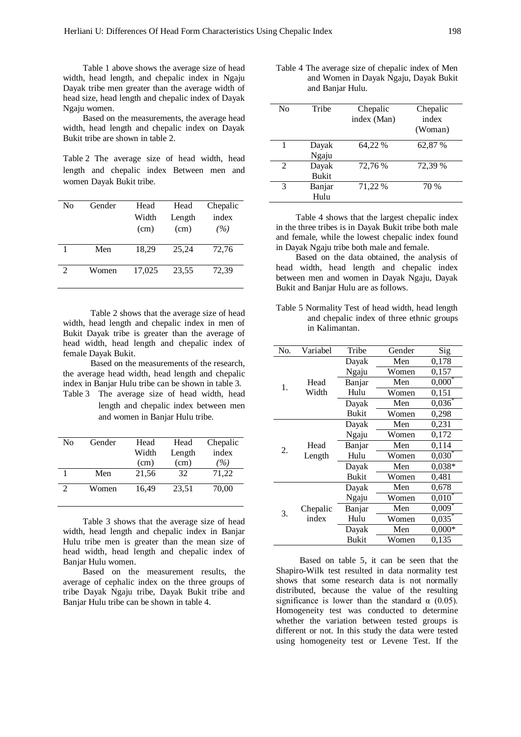Table 1 above shows the average size of head width, head length, and chepalic index in Ngaju Dayak tribe men greater than the average width of head size, head length and chepalic index of Dayak Ngaju women.

Based on the measurements, the average head width, head length and chepalic index on Dayak Bukit tribe are shown in table 2.

Table 2 The average size of head width, head length and chepalic index Between men and women Dayak Bukit tribe.

| No | Gender | Head   | Head   | Chepalic |
|----|--------|--------|--------|----------|
|    |        | Width  | Length | index    |
|    |        | (cm)   | (cm)   | (%)      |
|    |        |        |        |          |
|    | Men    | 18,29  | 25.24  | 72,76    |
|    |        |        |        |          |
| 2  | Women  | 17.025 | 23,55  | 72,39    |
|    |        |        |        |          |

Table 2 shows that the average size of head width, head length and chepalic index in men of Bukit Dayak tribe is greater than the average of head width, head length and chepalic index of female Dayak Bukit.

Based on the measurements of the research, the average head width, head length and chepalic index in Banjar Hulu tribe can be shown in table 3. Table 3 The average size of head width, head length and chepalic index between men and women in Banjar Hulu tribe.

| No             | Gender | Head<br>Width | Head<br>Length | Chepalic<br>index |
|----------------|--------|---------------|----------------|-------------------|
|                |        | (cm)          | (cm)           | $\frac{1}{2}$     |
|                | Men    | 21,56         | 32             | 71,22             |
| $\mathfrak{D}$ | Women  | 16,49         | 23,51          | 70,00             |

Table 3 shows that the average size of head width, head length and chepalic index in Banjar Hulu tribe men is greater than the mean size of head width, head length and chepalic index of Banjar Hulu women.

Based on the measurement results, the average of cephalic index on the three groups of tribe Dayak Ngaju tribe, Dayak Bukit tribe and Banjar Hulu tribe can be shown in table 4.

| Table 4 The average size of chepalic index of Men |
|---------------------------------------------------|
| and Women in Dayak Ngaju, Dayak Bukit             |
| and Banjar Hulu.                                  |

| No | Tribe                 | Chepalic<br>index (Man) | Chepalic<br>index<br>(Woman) |
|----|-----------------------|-------------------------|------------------------------|
| 1  | Dayak<br>Ngaju        | 64,22 %                 | 62,87 %                      |
| 2  | Dayak<br><b>Bukit</b> | 72,76 %                 | 72,39 %                      |
| 3  | Banjar<br>Hulu        | 71,22 %                 | 70 %                         |

Table 4 shows that the largest chepalic index in the three tribes is in Dayak Bukit tribe both male and female, while the lowest chepalic index found in Dayak Ngaju tribe both male and female.

Based on the data obtained, the analysis of head width, head length and chepalic index between men and women in Dayak Ngaju, Dayak Bukit and Banjar Hulu are as follows.

Table 5 Normality Test of head width, head length and chepalic index of three ethnic groups in Kalimantan.

| No. | Variabel | Tribe        | Gender | Sig                  |
|-----|----------|--------------|--------|----------------------|
|     |          | Dayak        | Men    | 0,178                |
|     |          | Ngaju        | Women  | 0,157                |
| 1.  | Head     | Banjar       | Men    | 0,000                |
|     | Width    | Hulu         | Women  | 0,151                |
|     |          | Dayak        | Men    | 0,036                |
|     |          | <b>Bukit</b> | Women  | 0,298                |
|     |          | Dayak        | Men    | 0,231                |
|     |          | Ngaju        | Women  | 0,172                |
| 2.  | Head     | Banjar       | Men    | 0,114                |
|     | Length   | Hulu         | Women  | $0,030^{*}$          |
|     |          | Dayak        | Men    | $0.038*$             |
|     |          | <b>Bukit</b> | Women  | 0,481                |
|     |          | Dayak        | Men    | 0,678                |
|     |          | Ngaju        | Women  | $0,010^{*}$          |
| 3.  | Chepalic | Banjar       | Men    | $0,009$ <sup>*</sup> |
|     | index    | Hulu         | Women  | 0,035                |
|     |          | Dayak        | Men    | $0,000*$             |
|     |          | <b>Bukit</b> | Women  | 0,135                |

Based on table 5, it can be seen that the Shapiro-Wilk test resulted in data normality test shows that some research data is not normally distributed, because the value of the resulting significance is lower than the standard  $\alpha$  (0.05). Homogeneity test was conducted to determine whether the variation between tested groups is different or not. In this study the data were tested using homogeneity test or Levene Test. If the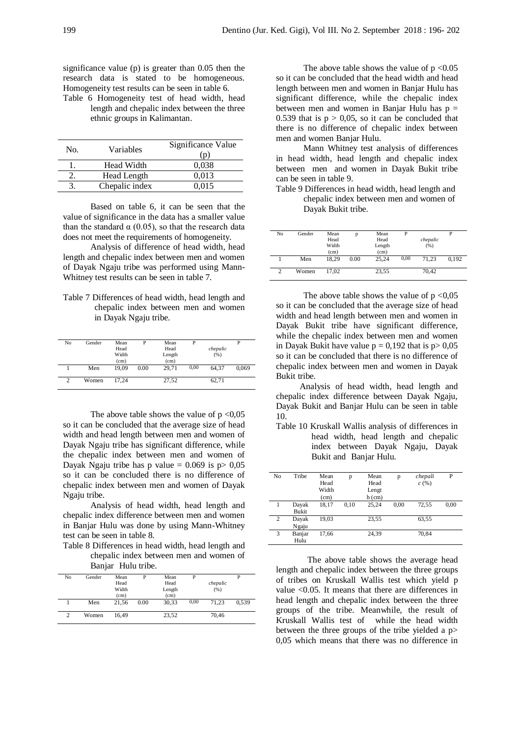significance value (p) is greater than 0.05 then the research data is stated to be homogeneous. Homogeneity test results can be seen in table 6.

Table 6 Homogeneity test of head width, head length and chepalic index between the three ethnic groups in Kalimantan.

| No. | Variables      | Significance Value<br>(p) |
|-----|----------------|---------------------------|
|     | Head Width     | 0.038                     |
|     | Head Length    | 0.013                     |
|     | Chepalic index | 0.015                     |

Based on table 6, it can be seen that the value of significance in the data has a smaller value than the standard  $\alpha$  (0.05), so that the research data does not meet the requirements of homogeneity.

Analysis of difference of head width, head length and chepalic index between men and women of Dayak Ngaju tribe was performed using Mann-Whitney test results can be seen in table 7.

Table 7 Differences of head width, head length and chepalic index between men and women in Dayak Ngaju tribe.

| No            | Gender | Mean<br>Head<br>Width |      | Mean<br>Head<br>Length |      | chepalic<br>(96) |       |
|---------------|--------|-----------------------|------|------------------------|------|------------------|-------|
|               |        | (cm)                  |      | (cm)                   |      |                  |       |
|               | Men    | 19.09                 | 0.00 | 29.71                  | 0,00 | 64.37            | 0.069 |
| $\mathcal{D}$ | Women  | 17.24                 |      | 27,52                  |      | 62,71            |       |

The above table shows the value of  $p < 0.05$ so it can be concluded that the average size of head width and head length between men and women of Dayak Ngaju tribe has significant difference, while the chepalic index between men and women of Dayak Ngaju tribe has p value =  $0.069$  is p  $0.05$ so it can be concluded there is no difference of chepalic index between men and women of Dayak Ngaju tribe.

Analysis of head width, head length and chepalic index difference between men and women in Banjar Hulu was done by using Mann-Whitney test can be seen in table 8.

Table 8 Differences in head width, head length and chepalic index between men and women of Banjar Hulu tribe.

| No | Gender | Mean<br>Head<br>Width<br>(cm) |      | Mean<br>Head<br>Length<br>(cm) | D    | chepalic<br>(% ) |       |
|----|--------|-------------------------------|------|--------------------------------|------|------------------|-------|
|    | Men    | 21.56                         | 0.00 | 30.33                          | 0,00 | 71.23            | 0.539 |
|    | Women  | 16.49                         |      | 23,52                          |      | 70,46            |       |

The above table shows the value of  $p < 0.05$ so it can be concluded that the head width and head length between men and women in Banjar Hulu has significant difference, while the chepalic index between men and women in Banjar Hulu has  $p =$ 0.539 that is  $p > 0.05$ , so it can be concluded that there is no difference of chepalic index between men and women Banjar Hulu.

Mann Whitney test analysis of differences in head width, head length and chepalic index between men and women in Dayak Bukit tribe can be seen in table 9.

Table 9 Differences in head width, head length and chepalic index between men and women of Dayak Bukit tribe.

| No | Gender | Mean<br>Head<br>Width<br>(c <sub>m</sub> ) |      | Mean<br>Head<br>Length<br>(cm) | D    | chepalic<br>(% ) |       |
|----|--------|--------------------------------------------|------|--------------------------------|------|------------------|-------|
|    | Men    | 18.29                                      | 0.00 | 25.24                          | 0,00 | 71.23            | 0.192 |
| 2  | Women  | 17.02                                      |      | 23,55                          |      | 70,42            |       |

The above table shows the value of  $p < 0.05$ so it can be concluded that the average size of head width and head length between men and women in Dayak Bukit tribe have significant difference, while the chepalic index between men and women in Dayak Bukit have value  $p = 0.192$  that is  $p > 0.05$ so it can be concluded that there is no difference of chepalic index between men and women in Dayak Bukit tribe.

Analysis of head width, head length and chepalic index difference between Dayak Ngaju, Dayak Bukit and Banjar Hulu can be seen in table 10.

Table 10 Kruskall Wallis analysis of differences in head width, head length and chepalic index between Dayak Ngaju, Dayak Bukit and Banjar Hulu.

| No | Tribe  | Mean  | p    | Mean     | p    | chepali | P    |
|----|--------|-------|------|----------|------|---------|------|
|    |        | Head  |      | Head     |      | c(%)    |      |
|    |        | Width |      | Lengt    |      |         |      |
|    |        | (cm)  |      | $h$ (cm) |      |         |      |
|    | Dayak  | 18.17 | 0.10 | 25,24    | 0.00 | 72,55   | 0,00 |
|    | Bukit  |       |      |          |      |         |      |
| 2  | Dayak  | 19,03 |      | 23,55    |      | 63,55   |      |
|    | Ngaju  |       |      |          |      |         |      |
| 3  | Banjar | 17,66 |      | 24,39    |      | 70,84   |      |
|    | Hulu   |       |      |          |      |         |      |

The above table shows the average head length and chepalic index between the three groups of tribes on Kruskall Wallis test which yield p value <0.05. It means that there are differences in head length and chepalic index between the three groups of the tribe. Meanwhile, the result of Kruskall Wallis test of while the head width between the three groups of the tribe yielded a p> 0,05 which means that there was no difference in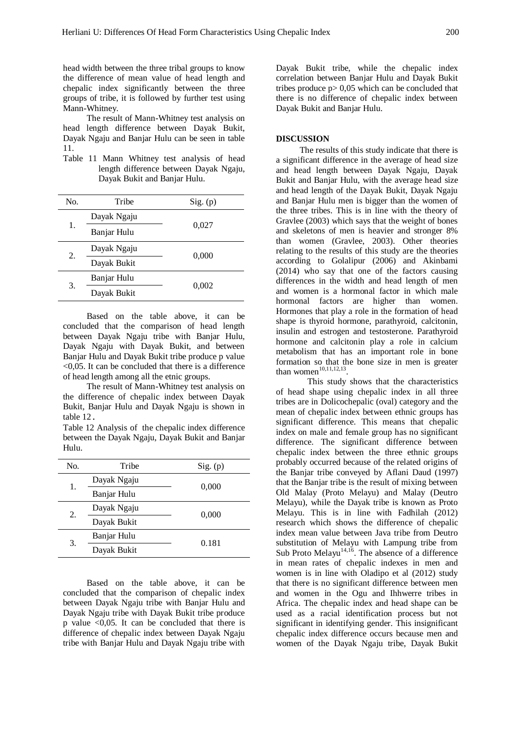head width between the three tribal groups to know the difference of mean value of head length and chepalic index significantly between the three groups of tribe, it is followed by further test using Mann-Whitney.

The result of Mann-Whitney test analysis on head length difference between Dayak Bukit, Dayak Ngaju and Banjar Hulu can be seen in table 11.

Table 11 Mann Whitney test analysis of head length difference between Dayak Ngaju, Dayak Bukit and Banjar Hulu.

| No. | Tribe       | Sig. (p) |
|-----|-------------|----------|
|     | Dayak Ngaju |          |
| 1.  | Banjar Hulu | 0,027    |
|     | Dayak Ngaju | 0,000    |
| 2.  | Dayak Bukit |          |
|     | Banjar Hulu |          |
| 3.  | Dayak Bukit | 0,002    |

Based on the table above, it can be concluded that the comparison of head length between Dayak Ngaju tribe with Banjar Hulu, Dayak Ngaju with Dayak Bukit, and between Banjar Hulu and Dayak Bukit tribe produce p value  $\leq 0.05$ . It can be concluded that there is a difference of head length among all the etnic groups.

The result of Mann-Whitney test analysis on the difference of chepalic index between Dayak Bukit, Banjar Hulu and Dayak Ngaju is shown in table 12.

Table 12 Analysis of the chepalic index difference between the Dayak Ngaju, Dayak Bukit and Banjar Hulu.

| No. | Tribe       | Sig. (p) |
|-----|-------------|----------|
| 1.  | Dayak Ngaju | 0,000    |
|     | Banjar Hulu |          |
| 2.  | Dayak Ngaju | 0,000    |
|     | Dayak Bukit |          |
| 3.  | Banjar Hulu | 0.181    |
|     | Dayak Bukit |          |

Based on the table above, it can be concluded that the comparison of chepalic index between Dayak Ngaju tribe with Banjar Hulu and Dayak Ngaju tribe with Dayak Bukit tribe produce p value  $\leq 0.05$ . It can be concluded that there is difference of chepalic index between Dayak Ngaju tribe with Banjar Hulu and Dayak Ngaju tribe with

Dayak Bukit tribe, while the chepalic index correlation between Banjar Hulu and Dayak Bukit tribes produce  $p > 0.05$  which can be concluded that there is no difference of chepalic index between Dayak Bukit and Banjar Hulu.

#### **DISCUSSION**

The results of this study indicate that there is a significant difference in the average of head size and head length between Dayak Ngaju, Dayak Bukit and Banjar Hulu, with the average head size and head length of the Dayak Bukit, Dayak Ngaju and Banjar Hulu men is bigger than the women of the three tribes. This is in line with the theory of Gravlee (2003) which says that the weight of bones and skeletons of men is heavier and stronger 8% than women (Gravlee, 2003). Other theories relating to the results of this study are the theories according to Golalipur (2006) and Akinbami (2014) who say that one of the factors causing differences in the width and head length of men and women is a hormonal factor in which male hormonal factors are higher than women. Hormones that play a role in the formation of head shape is thyroid hormone, parathyroid, calcitonin, insulin and estrogen and testosterone. Parathyroid hormone and calcitonin play a role in calcium metabolism that has an important role in bone formation so that the bone size in men is greater than women $10,11,12,13$ .

This study shows that the characteristics of head shape using chepalic index in all three tribes are in Dolicochepalic (oval) category and the mean of chepalic index between ethnic groups has significant difference. This means that chepalic index on male and female group has no significant difference. The significant difference between chepalic index between the three ethnic groups probably occurred because of the related origins of the Banjar tribe conveyed by Aflani Daud (1997) that the Banjar tribe is the result of mixing between Old Malay (Proto Melayu) and Malay (Deutro Melayu), while the Dayak tribe is known as Proto Melayu. This is in line with Fadhilah (2012) research which shows the difference of chepalic index mean value between Java tribe from Deutro substitution of Melayu with Lampung tribe from Sub Proto Melayu<sup>14,16</sup>. The absence of a difference in mean rates of chepalic indexes in men and women is in line with Oladipo et al (2012) study that there is no significant difference between men and women in the Ogu and Ihhwerre tribes in Africa. The chepalic index and head shape can be used as a racial identification process but not significant in identifying gender. This insignificant chepalic index difference occurs because men and women of the Dayak Ngaju tribe, Dayak Bukit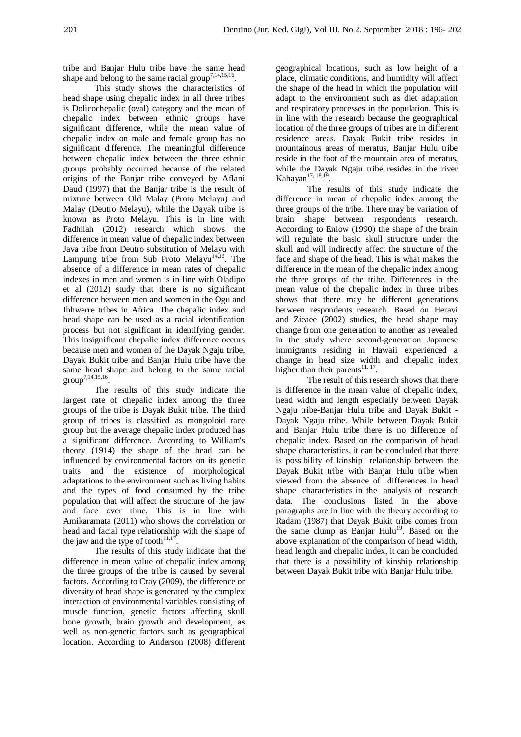tribe and Banjar Hulu tribe have the same head shape and belong to the same racial group<sup>7,14,15,16</sup>.

This study shows the characteristics of head shape using chepalic index in all three tribes is Dolicochepalic (oval) category and the mean of chepalic index between ethnic groups have significant difference, while the mean value of chepalic index on male and female group has no significant difference. The meaningful difference between chepalic index between the three ethnic groups probably occurred because of the related origins of the Banjar tribe conveyed by Aflani Daud (1997) that the Banjar tribe is the result of mixture between Old Malay (Proto Melayu) and Malay (Deutro Melayu), while the Dayak tribe is known as Proto Melayu. This is in line with Fadhilah (2012) research which shows the difference in mean value of chepalic index between Java tribe from Deutro substitution of Melayu with Lampung tribe from Sub Proto Melayu<sup>14,16</sup>. The absence of a difference in mean rates of chepalic indexes in men and women is in line with Oladipo et al (2012) study that there is no significant difference between men and women in the Ogu and Ihhwerre tribes in Africa. The chepalic index and head shape can be used as a racial identification process but not significant in identifying gender. This insignificant chepalic index difference occurs because men and women of the Dayak Ngaju tribe, Dayak Bukit tribe and Banjar Hulu tribe have the same head shape and belong to the same racial group7,14,15,16 .

The results of this study indicate the largest rate of chepalic index among the three groups of the tribe is Dayak Bukit tribe. The third group of tribes is classified as mongoloid race group but the average chepalic index produced has a significant difference. According to William's theory (1914) the shape of the head can be influenced by environmental factors on its genetic traits and the existence of morphological adaptations to the environment such as living habits and the types of food consumed by the tribe population that will affect the structure of the jaw and face over time. This is in line with Amikaramata (2011) who shows the correlation or head and facial type relationship with the shape of the jaw and the type of tooth $11,17$ .

The results of this study indicate that the difference in mean value of chepalic index among the three groups of the tribe is caused by several factors. According to Cray (2009), the difference or diversity of head shape is generated by the complex interaction of environmental variables consisting of muscle function, genetic factors affecting skull bone growth, brain growth and development, as well as non-genetic factors such as geographical location. According to Anderson (2008) different

geographical locations, such as low height of a place, climatic conditions, and humidity will affect the shape of the head in which the population will adapt to the environment such as diet adaptation and respiratory processes in the population. This is in line with the research because the geographical location of the three groups of tribes are in different residence areas. Dayak Bukit tribe resides in mountainous areas of meratus, Banjar Hulu tribe reside in the foot of the mountain area of meratus, while the Dayak Ngaju tribe resides in the river Kahayan $17, 18.19$ .

The results of this study indicate the difference in mean of chepalic index among the three groups of the tribe. There may be variation of brain shape between respondents research. According to Enlow (1990) the shape of the brain will regulate the basic skull structure under the skull and will indirectly affect the structure of the face and shape of the head. This is what makes the difference in the mean of the chepalic index among the three groups of the tribe. Differences in the mean value of the chepalic index in three tribes shows that there may be different generations between respondents research. Based on Heravi and Zieaee (2002) studies, the head shape may change from one generation to another as revealed in the study where second-generation Japanese immigrants residing in Hawaii experienced a change in head size width and chepalic index higher than their parents $^{11, 17}$ .

The result of this research shows that there is difference in the mean value of chepalic index, head width and length especially between Dayak Ngaju tribe-Banjar Hulu tribe and Dayak Bukit - Dayak Ngaju tribe. While between Dayak Bukit and Banjar Hulu tribe there is no difference of chepalic index. Based on the comparison of head shape characteristics, it can be concluded that there is possibility of kinship relationship between the Dayak Bukit tribe with Banjar Hulu tribe when viewed from the absence of differences in head shape characteristics in the analysis of research data. The conclusions listed in the above paragraphs are in line with the theory according to Radam (1987) that Dayak Bukit tribe comes from the same clump as Banjar Hulu<sup>19</sup>. Based on the above explanation of the comparison of head width, head length and chepalic index, it can be concluded that there is a possibility of kinship relationship between Dayak Bukit tribe with Banjar Hulu tribe.